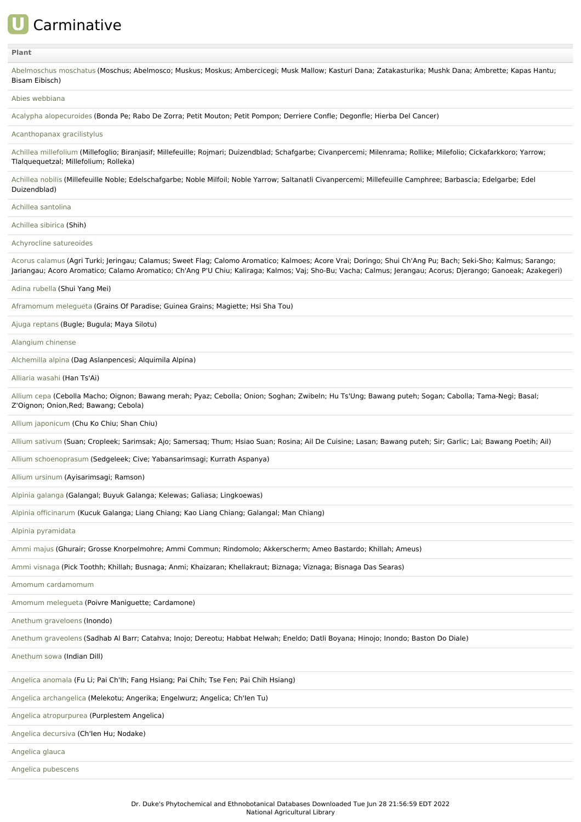# **U** Carminative

# **[Plant](file:///phytochem/ethnoActivity/ethnoActivityListAll?max=&offset=0&count=&filter=&sort=plant&order=asc)**

| Abelmoschus moschatus (Moschus; Abelmosco; Muskus; Moskus; Ambercicegi; Musk Mallow; Kasturi Dana; Zatakasturika; Mushk Dana; Ambrette; Kapas Hantu;<br>Bisam Eibisch)                                                                                                                                                      |
|-----------------------------------------------------------------------------------------------------------------------------------------------------------------------------------------------------------------------------------------------------------------------------------------------------------------------------|
| Abies webbiana                                                                                                                                                                                                                                                                                                              |
| Acalypha alopecuroides (Bonda Pe; Rabo De Zorra; Petit Mouton; Petit Pompon; Derriere Confle; Degonfle; Hierba Del Cancer)                                                                                                                                                                                                  |
| Acanthopanax gracilistylus                                                                                                                                                                                                                                                                                                  |
| Achillea millefolium (Millefoglio; Biranjasif; Millefeuille; Rojmari; Duizendblad; Schafgarbe; Civanpercemi; Milenrama; Rollike; Milefolio; Cickafarkkoro; Yarrow;<br>Tlalquequetzal; Millefolium; Rolleka)                                                                                                                 |
| Achillea nobilis (Millefeuille Noble; Edelschafgarbe; Noble Milfoil; Noble Yarrow; Saltanatli Civanpercemi; Millefeuille Camphree; Barbascia; Edelgarbe; Edel<br>Duizendblad)                                                                                                                                               |
| Achillea santolina                                                                                                                                                                                                                                                                                                          |
| Achillea sibirica (Shih)                                                                                                                                                                                                                                                                                                    |
| Achyrocline satureoides                                                                                                                                                                                                                                                                                                     |
| Acorus calamus (Agri Turki; Jeringau; Calamus; Sweet Flag; Calomo Aromatico; Kalmoes; Acore Vrai; Doringo; Shui Ch'Ang Pu; Bach; Seki-Sho; Kalmus; Sarango;<br>Jariangau; Acoro Aromatico; Calamo Aromatico; Ch'Ang P'U Chiu; Kaliraga; Kalmos; Vaj; Sho-Bu; Vacha; Calmus; Jerangau; Acorus; Djerango; Ganoeak; Azakegeri) |
| Adina rubella (Shui Yang Mei)                                                                                                                                                                                                                                                                                               |
| Aframomum melegueta (Grains Of Paradise; Guinea Grains; Magiette; Hsi Sha Tou)                                                                                                                                                                                                                                              |
| Ajuga reptans (Bugle; Bugula; Maya Silotu)                                                                                                                                                                                                                                                                                  |
| Alangium chinense                                                                                                                                                                                                                                                                                                           |
| Alchemilla alpina (Dag Aslanpencesi; Alquimila Alpina)                                                                                                                                                                                                                                                                      |
| Alliaria wasahi (Han Ts'Ai)                                                                                                                                                                                                                                                                                                 |
| Allium cepa (Cebolla Macho; Oignon; Bawang merah; Pyaz; Cebolla; Onion; Soghan; Zwibeln; Hu Ts'Ung; Bawang puteh; Sogan; Cabolla; Tama-Negi; Basal;<br>Z'Oignon; Onion, Red; Bawang; Cebola)                                                                                                                                |
| Allium japonicum (Chu Ko Chiu; Shan Chiu)                                                                                                                                                                                                                                                                                   |
| Allium sativum (Suan; Cropleek; Sarimsak; Ajo; Samersaq; Thum; Hsiao Suan; Rosina; Ail De Cuisine; Lasan; Bawang puteh; Sir; Garlic; Lai; Bawang Poetih; Ail)                                                                                                                                                               |
| Allium schoenoprasum (Sedgeleek; Cive; Yabansarimsagi; Kurrath Aspanya)                                                                                                                                                                                                                                                     |
| Allium ursinum (Ayisarimsagi; Ramson)                                                                                                                                                                                                                                                                                       |
| Alpinia galanga (Galangal; Buyuk Galanga; Kelewas; Galiasa; Lingkoewas)                                                                                                                                                                                                                                                     |
| Alpinia officinarum (Kucuk Galanga; Liang Chiang; Kao Liang Chiang; Galangal; Man Chiang)                                                                                                                                                                                                                                   |
| Alpinia pyramidata                                                                                                                                                                                                                                                                                                          |
| Ammi majus (Ghurair; Grosse Knorpelmohre; Ammi Commun; Rindomolo; Akkerscherm; Ameo Bastardo; Khillah; Ameus)                                                                                                                                                                                                               |
| Ammi visnaga (Pick Toothh; Khillah; Busnaga; Anmi; Khaizaran; Khellakraut; Biznaga; Viznaga; Bisnaga Das Searas)                                                                                                                                                                                                            |
| Amomum cardamomum                                                                                                                                                                                                                                                                                                           |
| Amomum melequeta (Poivre Maniquette; Cardamone)                                                                                                                                                                                                                                                                             |
| Anethum graveloens (Inondo)                                                                                                                                                                                                                                                                                                 |
| Anethum graveolens (Sadhab Al Barr; Catahva; Inojo; Dereotu; Habbat Helwah; Eneldo; Datli Boyana; Hinojo; Inondo; Baston Do Diale)                                                                                                                                                                                          |
| Anethum sowa (Indian Dill)                                                                                                                                                                                                                                                                                                  |
| Angelica anomala (Fu Li; Pai Ch'lh; Fang Hsiang; Pai Chih; Tse Fen; Pai Chih Hsiang)                                                                                                                                                                                                                                        |
| Angelica archangelica (Melekotu; Angerika; Engelwurz; Angelica; Ch'len Tu)                                                                                                                                                                                                                                                  |
| Angelica atropurpurea (Purplestem Angelica)                                                                                                                                                                                                                                                                                 |
| Angelica decursiva (Ch'len Hu; Nodake)                                                                                                                                                                                                                                                                                      |
| Angelica glauca                                                                                                                                                                                                                                                                                                             |
| Angelica pubescens                                                                                                                                                                                                                                                                                                          |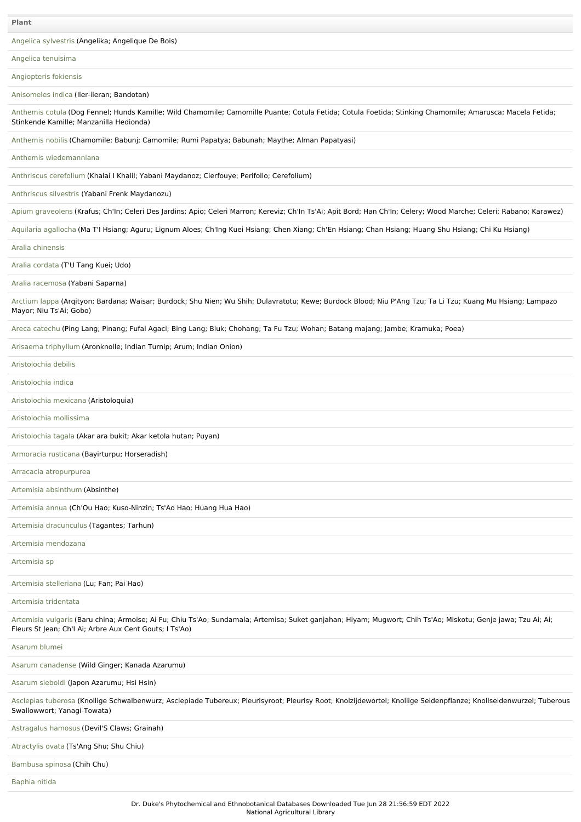Angelica [sylvestris](file:///phytochem/ethnoPlants/show/282) (Angelika; Angelique De Bois)

Angelica [tenuisima](file:///phytochem/ethnoPlants/show/4607)

[Angiopteris](file:///phytochem/ethnoPlants/show/1131) fokiensis

[Anisomeles](file:///phytochem/ethnoPlants/show/2920) indica (Iler-ileran; Bandotan)

[Anthemis](file:///phytochem/ethnoPlants/show/1387) cotula (Dog Fennel; Hunds Kamille; Wild Chamomile; Camomille Puante; Cotula Fetida; Cotula Foetida; Stinking Chamomile; Amarusca; Macela Fetida; Stinkende Kamille; Manzanilla Hedionda)

[Anthemis](file:///phytochem/ethnoPlants/show/1590) nobilis (Chamomile; Babunj; Camomile; Rumi Papatya; Babunah; Maythe; Alman Papatyasi)

Anthemis [wiedemanniana](file:///phytochem/ethnoPlants/show/4608)

[Anthriscus](file:///phytochem/ethnoPlants/show/2431) cerefolium (Khalai I Khalil; Yabani Maydanoz; Cierfouye; Perifollo; Cerefolium)

[Anthriscus](file:///phytochem/ethnoPlants/show/6880) silvestris (Yabani Frenk Maydanozu)

Apium [graveolens](file:///phytochem/ethnoPlants/show/1222) (Krafus; Ch'In; Celeri Des Jardins; Apio; Celeri Marron; Kereviz; Ch'In Ts'Ai; Apit Bord; Han Ch'In; Celery; Wood Marche; Celeri; Rabano; Karawez)

Aquilaria [agallocha](file:///phytochem/ethnoPlants/show/18) (Ma T'I Hsiang; Aguru; Lignum Aloes; Ch'Ing Kuei Hsiang; Chen Xiang; Ch'En Hsiang; Chan Hsiang; Huang Shu Hsiang; Chi Ku Hsiang)

Aralia [chinensis](file:///phytochem/ethnoPlants/show/567)

Aralia [cordata](file:///phytochem/ethnoPlants/show/7305) (T'U Tang Kuei; Udo)

Aralia [racemosa](file:///phytochem/ethnoPlants/show/419) (Yabani Saparna)

[Arctium](file:///phytochem/ethnoPlants/show/284) lappa (Arqityon; Bardana; Waisar; Burdock; Shu Nien; Wu Shih; Dulavratotu; Kewe; Burdock Blood; Niu P'Ang Tzu; Ta Li Tzu; Kuang Mu Hsiang; Lampazo Mayor; Niu Ts'Ai; Gobo)

Areca [catechu](file:///phytochem/ethnoPlants/show/856) (Ping Lang; Pinang; Fufal Agaci; Bing Lang; Bluk; Chohang; Ta Fu Tzu; Wohan; Batang majang; Jambe; Kramuka; Poea)

Arisaema [triphyllum](file:///phytochem/ethnoPlants/show/570) (Aronknolle; Indian Turnip; Arum; Indian Onion)

[Aristolochia](file:///phytochem/ethnoPlants/show/20) debilis

[Aristolochia](file:///phytochem/ethnoPlants/show/3500) indica

[Aristolochia](file:///phytochem/ethnoPlants/show/4610) mexicana (Aristoloquia)

[Aristolochia](file:///phytochem/ethnoPlants/show/1592) mollissima

[Aristolochia](file:///phytochem/ethnoPlants/show/4611) tagala (Akar ara bukit; Akar ketola hutan; Puyan)

[Armoracia](file:///phytochem/ethnoPlants/show/1593) rusticana (Bayirturpu; Horseradish)

Arracacia [atropurpurea](file:///phytochem/ethnoPlants/show/3696)

Artemisia [absinthum](file:///phytochem/ethnoPlants/show/1514) (Absinthe)

[Artemisia](file:///phytochem/ethnoPlants/show/287) annua (Ch'Ou Hao; Kuso-Ninzin; Ts'Ao Hao; Huang Hua Hao)

Artemisia [dracunculus](file:///phytochem/ethnoPlants/show/1872) (Tagantes; Tarhun)

Artemisia [mendozana](file:///phytochem/ethnoPlants/show/10038)

[Artemisia](file:///phytochem/ethnoPlants/show/5059) sp

Artemisia [stelleriana](file:///phytochem/ethnoPlants/show/4612) (Lu; Fan; Pai Hao)

Artemisia [tridentata](file:///phytochem/ethnoPlants/show/572)

[Artemisia](file:///phytochem/ethnoPlants/show/1390) vulgaris (Baru china; Armoise; Ai Fu; Chiu Ts'Ao; Sundamala; Artemisa; Suket ganjahan; Hiyam; Mugwort; Chih Ts'Ao; Miskotu; Genje jawa; Tzu Ai; Ai; Fleurs St Jean; Ch'I Ai; Arbre Aux Cent Gouts; I Ts'Ao)

[Asarum](file:///phytochem/ethnoPlants/show/4613) blumei

Asarum [canadense](file:///phytochem/ethnoPlants/show/22) (Wild Ginger; Kanada Azarumu)

[Asarum](file:///phytochem/ethnoPlants/show/574) sieboldi (Japon Azarumu; Hsi Hsin)

[Asclepias](file:///phytochem/ethnoPlants/show/2375) tuberosa (Knollige Schwalbenwurz; Asclepiade Tubereux; Pleurisyroot; Pleurisy Root; Knolzijdewortel; Knollige Seidenpflanze; Knollseidenwurzel; Tuberous Swallowwort; Yanagi-Towata)

[Astragalus](file:///phytochem/ethnoPlants/show/2936) hamosus (Devil'S Claws; Grainah)

[Atractylis](file:///phytochem/ethnoPlants/show/24) ovata (Ts'Ang Shu; Shu Chiu)

[Bambusa](file:///phytochem/ethnoPlants/show/1929) spinosa (Chih Chu)

[Baphia](file:///phytochem/ethnoPlants/show/2688) nitida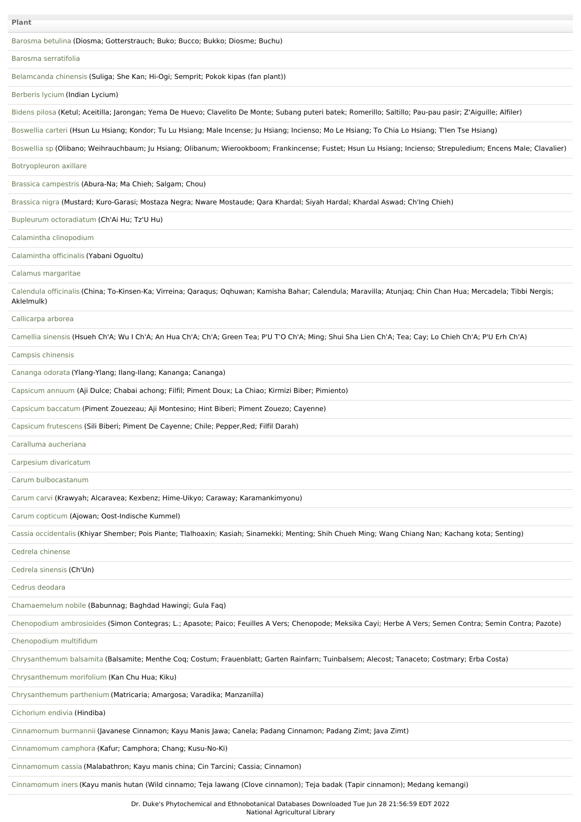| Plant                                                                                                                                                                       |
|-----------------------------------------------------------------------------------------------------------------------------------------------------------------------------|
| Barosma betulina (Diosma; Gotterstrauch; Buko; Bucco; Bukko; Diosme; Buchu)                                                                                                 |
| Barosma serratifolia                                                                                                                                                        |
| Belamcanda chinensis (Suliga; She Kan; Hi-Ogi; Semprit; Pokok kipas (fan plant))                                                                                            |
| Berberis lycium (Indian Lycium)                                                                                                                                             |
| Bidens pilosa (Ketul; Aceitilla; Jarongan; Yema De Huevo; Clavelito De Monte; Subang puteri batek; Romerillo; Saltillo; Pau-pau pasir; Z'Aiguille; Alfiler)                 |
| Boswellia carteri (Hsun Lu Hsiang; Kondor; Tu Lu Hsiang; Male Incense; Ju Hsiang; Incienso; Mo Le Hsiang; To Chia Lo Hsiang; T'len Tse Hsiang)                              |
| Boswellia sp (Olibano; Weihrauchbaum; Ju Hsiang; Olibanum; Wierookboom; Frankincense; Fustet; Hsun Lu Hsiang; Incienso; Strepuledium; Encens Male; Clavalier)               |
| Botryopleuron axillare                                                                                                                                                      |
| Brassica campestris (Abura-Na; Ma Chieh; Salgam; Chou)                                                                                                                      |
| Brassica nigra (Mustard; Kuro-Garasi; Mostaza Negra; Nware Mostaude; Qara Khardal; Siyah Hardal; Khardal Aswad; Ch'Ing Chieh)                                               |
| Bupleurum octoradiatum (Ch'Ai Hu; Tz'U Hu)                                                                                                                                  |
| Calamintha clinopodium                                                                                                                                                      |
| Calamintha officinalis (Yabani Oguoltu)                                                                                                                                     |
| Calamus margaritae                                                                                                                                                          |
| Calendula officinalis (China; To-Kinsen-Ka; Virreina; Qaraqus; Oqhuwan; Kamisha Bahar; Calendula; Maravilla; Atunjaq; Chin Chan Hua; Mercadela; Tibbi Nergis;<br>Aklelmulk) |
| Callicarpa arborea                                                                                                                                                          |
| Camellia sinensis (Hsueh Ch'A; Wu I Ch'A; An Hua Ch'A; Ch'A; Green Tea; P'U T'O Ch'A; Ming; Shui Sha Lien Ch'A; Tea; Cay; Lo Chieh Ch'A; P'U Erh Ch'A)                      |
| Campsis chinensis                                                                                                                                                           |
| Cananga odorata (Ylang-Ylang; Ilang-Ilang; Kananga; Cananga)                                                                                                                |
| Capsicum annuum (Aji Dulce; Chabai achong; Filfil; Piment Doux; La Chiao; Kirmizi Biber; Pimiento)                                                                          |
| Capsicum baccatum (Piment Zouezeau; Aji Montesino; Hint Biberi; Piment Zouezo; Cayenne)                                                                                     |
| Capsicum frutescens (Sili Biberi; Piment De Cayenne; Chile; Pepper, Red; Filfil Darah)                                                                                      |
| Caralluma aucheriana                                                                                                                                                        |
| Carpesium divaricatum                                                                                                                                                       |
| Carum bulbocastanum                                                                                                                                                         |
| Carum carvi (Krawyah; Alcaravea; Kexbenz; Hime-Uikyo; Caraway; Karamankimyonu)                                                                                              |
| Carum copticum (Ajowan; Oost-Indische Kummel)                                                                                                                               |
| Cassia occidentalis (Khiyar Shember; Pois Piante; Tlalhoaxin; Kasiah; Sinamekki; Menting; Shih Chueh Ming; Wang Chiang Nan; Kachang kota; Senting)                          |
| Cedrela chinense                                                                                                                                                            |
| Cedrela sinensis (Ch'Un)                                                                                                                                                    |
| Cedrus deodara                                                                                                                                                              |
| Chamaemelum nobile (Babunnag; Baghdad Hawingi; Gula Faq)                                                                                                                    |
| Chenopodium ambrosioides (Simon Contegras; L.; Apasote; Paico; Feuilles A Vers; Chenopode; Meksika Cayi; Herbe A Vers; Semen Contra; Semin Contra; Pazote)                  |
| Chenopodium multifidum                                                                                                                                                      |
| Chrysanthemum balsamita (Balsamite; Menthe Cog; Costum; Frauenblatt; Garten Rainfarn; Tuinbalsem; Alecost; Tanaceto; Costmary; Erba Costa)                                  |
| Chrysanthemum morifolium (Kan Chu Hua; Kiku)                                                                                                                                |
| Chrysanthemum parthenium (Matricaria; Amargosa; Varadika; Manzanilla)                                                                                                       |
| Cichorium endivia (Hindiba)                                                                                                                                                 |
| Cinnamomum burmannii (Javanese Cinnamon; Kayu Manis Jawa; Canela; Padang Cinnamon; Padang Zimt; Java Zimt)                                                                  |
| Cinnamomum camphora (Kafur; Camphora; Chang; Kusu-No-Ki)                                                                                                                    |
| Cinnamomum cassia (Malabathron; Kayu manis china; Cin Tarcini; Cassia; Cinnamon)                                                                                            |
| Cinnamomum iners (Kayu manis hutan (Wild cinnamo; Teja lawang (Clove cinnamon); Teja badak (Tapir cinnamon); Medang kemangi)                                                |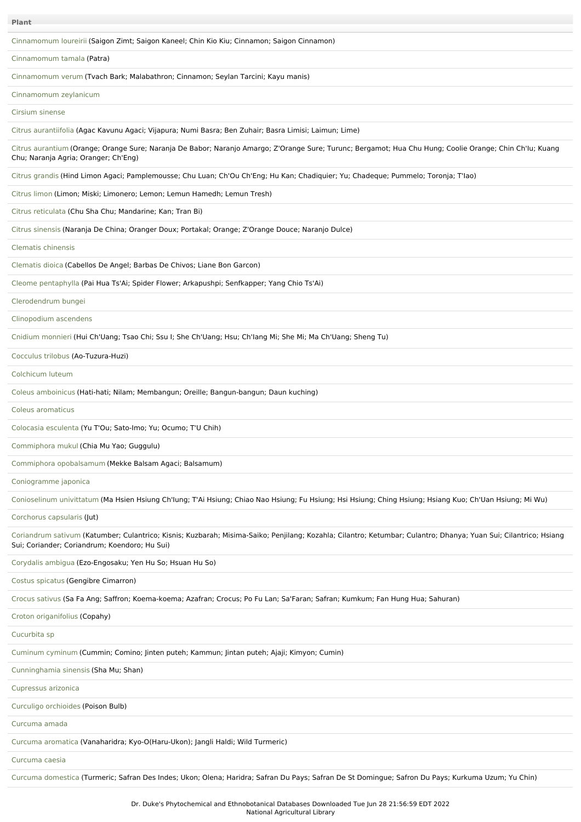| <b>Plant</b>                                                                                                                                                                                                      |
|-------------------------------------------------------------------------------------------------------------------------------------------------------------------------------------------------------------------|
| Cinnamomum loureirii (Saigon Zimt; Saigon Kaneel; Chin Kio Kiu; Cinnamon; Saigon Cinnamon)                                                                                                                        |
| Cinnamomum tamala (Patra)                                                                                                                                                                                         |
| Cinnamomum verum (Tvach Bark; Malabathron; Cinnamon; Seylan Tarcini; Kayu manis)                                                                                                                                  |
| Cinnamomum zeylanicum                                                                                                                                                                                             |
| Cirsium sinense                                                                                                                                                                                                   |
| Citrus aurantiifolia (Agac Kavunu Agaci; Vijapura; Numi Basra; Ben Zuhair; Basra Limisi; Laimun; Lime)                                                                                                            |
| Citrus aurantium (Orange; Orange Sure; Naranja De Babor; Naranjo Amargo; Z'Orange Sure; Turunc; Bergamot; Hua Chu Hung; Coolie Orange; Chin Ch'lu; Kuang<br>Chu; Naranja Agria; Oranger; Ch'Eng)                  |
| Citrus grandis (Hind Limon Agaci; Pamplemousse; Chu Luan; Ch'Ou Ch'Eng; Hu Kan; Chadiquier; Yu; Chadeque; Pummelo; Toronja; T'lao)                                                                                |
| Citrus limon (Limon; Miski; Limonero; Lemon; Lemun Hamedh; Lemun Tresh)                                                                                                                                           |
| Citrus reticulata (Chu Sha Chu; Mandarine; Kan; Tran Bi)                                                                                                                                                          |
| Citrus sinensis (Naranja De China; Oranger Doux; Portakal; Orange; Z'Orange Douce; Naranjo Dulce)                                                                                                                 |
| Clematis chinensis                                                                                                                                                                                                |
| Clematis dioica (Cabellos De Angel; Barbas De Chivos; Liane Bon Garcon)                                                                                                                                           |
| Cleome pentaphylla (Pai Hua Ts'Ai; Spider Flower; Arkapushpi; Senfkapper; Yang Chio Ts'Ai)                                                                                                                        |
| Clerodendrum bungei                                                                                                                                                                                               |
| Clinopodium ascendens                                                                                                                                                                                             |
| Cnidium monnieri (Hui Ch'Uang; Tsao Chi; Ssu I; She Ch'Uang; Hsu; Ch'Iang Mi; She Mi; Ma Ch'Uang; Sheng Tu)                                                                                                       |
| Cocculus trilobus (Ao-Tuzura-Huzi)                                                                                                                                                                                |
| Colchicum luteum                                                                                                                                                                                                  |
| Coleus amboinicus (Hati-hati; Nilam; Membangun; Oreille; Bangun-bangun; Daun kuching)                                                                                                                             |
| Coleus aromaticus                                                                                                                                                                                                 |
| Colocasia esculenta (Yu T'Ou; Sato-Imo; Yu; Ocumo; T'U Chih)                                                                                                                                                      |
| Commiphora mukul (Chia Mu Yao; Guggulu)                                                                                                                                                                           |
| Commiphora opobalsamum (Mekke Balsam Agaci; Balsamum)                                                                                                                                                             |
| Coniogramme japonica                                                                                                                                                                                              |
| Conioselinum univittatum (Ma Hsien Hsiung Ch'lung; T'Ai Hsiung; Chiao Nao Hsiung; Fu Hsiung; Hsi Hsiung; Ching Hsiung; Hsiang Kuo; Ch'Uan Hsiung; Mi Wu)                                                          |
| Corchorus capsularis (Jut)                                                                                                                                                                                        |
| Coriandrum sativum (Katumber; Culantrico; Kisnis; Kuzbarah; Misima-Saiko; Penjilang; Kozahla; Cilantro; Ketumbar; Culantro; Dhanya; Yuan Sui; Cilantrico; Hsiang<br>Sui; Coriander; Coriandrum; Koendoro; Hu Sui) |
| Corydalis ambigua (Ezo-Engosaku; Yen Hu So; Hsuan Hu So)                                                                                                                                                          |
| Costus spicatus (Gengibre Cimarron)                                                                                                                                                                               |
| Crocus sativus (Sa Fa Ang; Saffron; Koema-koema; Azafran; Crocus; Po Fu Lan; Sa'Faran; Safran; Kumkum; Fan Hung Hua; Sahuran)                                                                                     |
| Croton origanifolius (Copahy)                                                                                                                                                                                     |
| Cucurbita sp                                                                                                                                                                                                      |
| Cuminum cyminum (Cummin; Comino; Jinten puteh; Kammun; Jintan puteh; Ajaji; Kimyon; Cumin)                                                                                                                        |
| Cunninghamia sinensis (Sha Mu; Shan)                                                                                                                                                                              |
| Cupressus arizonica                                                                                                                                                                                               |
| Curculigo orchioides (Poison Bulb)                                                                                                                                                                                |
| Curcuma amada                                                                                                                                                                                                     |
| Curcuma aromatica (Vanaharidra; Kyo-O(Haru-Ukon); Jangli Haldi; Wild Turmeric)                                                                                                                                    |
| Curcuma caesia                                                                                                                                                                                                    |
| Curcuma domestica (Turmeric; Safran Des Indes; Ukon; Olena; Haridra; Safran Du Pays; Safran De St Domingue; Safron Du Pays; Kurkuma Uzum; Yu Chin)                                                                |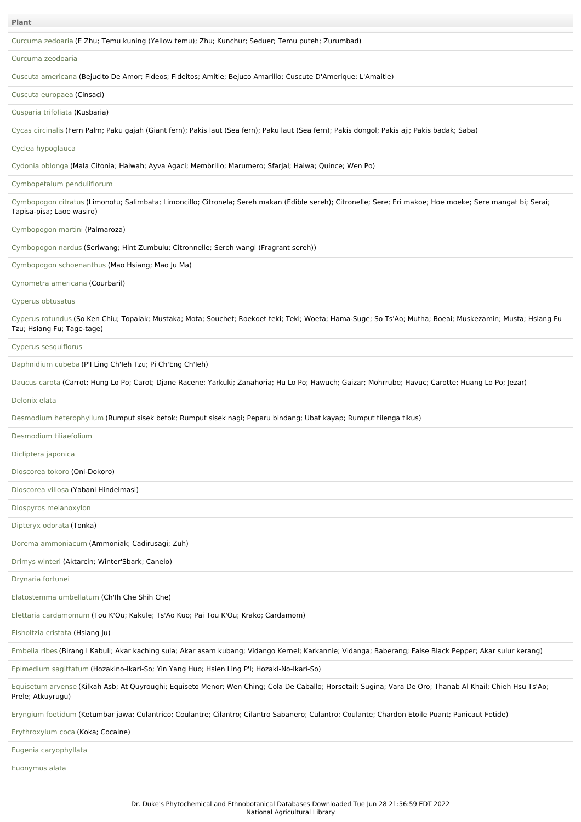| <b>Plant</b>                                                                                                                                                                             |
|------------------------------------------------------------------------------------------------------------------------------------------------------------------------------------------|
| Curcuma zedoaria (E Zhu; Temu kuning (Yellow temu); Zhu; Kunchur; Seduer; Temu puteh; Zurumbad)                                                                                          |
| Curcuma zeodoaria                                                                                                                                                                        |
| Cuscuta americana (Bejucito De Amor; Fideos; Fideitos; Amitie; Bejuco Amarillo; Cuscute D'Amerique; L'Amaitie)                                                                           |
| Cuscuta europaea (Cinsaci)                                                                                                                                                               |
| Cusparia trifoliata (Kusbaria)                                                                                                                                                           |
| Cycas circinalis (Fern Palm; Paku gajah (Giant fern); Pakis laut (Sea fern); Paku laut (Sea fern); Pakis dongol; Pakis aji; Pakis badak; Saba)                                           |
| Cyclea hypoglauca                                                                                                                                                                        |
| Cydonia oblonga (Mala Citonia; Haiwah; Ayva Agaci; Membrillo; Marumero; Sfarjal; Haiwa; Quince; Wen Po)                                                                                  |
| Cymbopetalum penduliflorum                                                                                                                                                               |
| Cymbopogon citratus (Limonotu; Salimbata; Limoncillo; Citronela; Sereh makan (Edible sereh); Citronelle; Sere; Eri makoe; Hoe moeke; Sere mangat bi; Serai;<br>Tapisa-pisa; Laoe wasiro) |
| Cymbopogon martini (Palmaroza)                                                                                                                                                           |
| Cymbopogon nardus (Seriwang; Hint Zumbulu; Citronnelle; Sereh wangi (Fragrant sereh))                                                                                                    |
| Cymbopogon schoenanthus (Mao Hsiang; Mao Ju Ma)                                                                                                                                          |
| Cynometra americana (Courbaril)                                                                                                                                                          |
| Cyperus obtusatus                                                                                                                                                                        |
| Cyperus rotundus (So Ken Chiu; Topalak; Mustaka; Mota; Souchet; Roekoet teki; Teki; Woeta; Hama-Suge; So Ts'Ao; Mutha; Boeai; Muskezamin; Musta; Hsiang Fu<br>Tzu; Hsiang Fu; Tage-tage) |
| Cyperus sesquiflorus                                                                                                                                                                     |
| Daphnidium cubeba (P'I Ling Ch'leh Tzu; Pi Ch'Eng Ch'leh)                                                                                                                                |
| Daucus carota (Carrot; Hung Lo Po; Carot; Djane Racene; Yarkuki; Zanahoria; Hu Lo Po; Hawuch; Gaizar; Mohrrube; Havuc; Carotte; Huang Lo Po; Jezar)                                      |
| Delonix elata                                                                                                                                                                            |
| Desmodium heterophyllum (Rumput sisek betok; Rumput sisek nagi; Peparu bindang; Ubat kayap; Rumput tilenga tikus)                                                                        |
| Desmodium tiliaefolium                                                                                                                                                                   |
| Dicliptera japonica                                                                                                                                                                      |
| Dioscorea tokoro (Oni-Dokoro)                                                                                                                                                            |
| Dioscorea villosa (Yabani Hindelmasi)                                                                                                                                                    |
| Diospyros melanoxylon                                                                                                                                                                    |
| Dipteryx odorata (Tonka)                                                                                                                                                                 |
| Dorema ammoniacum (Ammoniak; Cadirusagi; Zuh)                                                                                                                                            |
| Drimys winteri (Aktarcin; Winter'Sbark; Canelo)                                                                                                                                          |
| Drynaria fortunei                                                                                                                                                                        |
| Elatostemma umbellatum (Ch'lh Che Shih Che)                                                                                                                                              |
| Elettaria cardamomum (Tou K'Ou; Kakule; Ts'Ao Kuo; Pai Tou K'Ou; Krako; Cardamom)                                                                                                        |
| Elsholtzia cristata (Hsiang Ju)                                                                                                                                                          |
| Embelia ribes (Birang I Kabuli; Akar kaching sula; Akar asam kubang; Vidango Kernel; Karkannie; Vidanga; Baberang; False Black Pepper; Akar sulur kerang)                                |
| Epimedium sagittatum (Hozakino-Ikari-So; Yin Yang Huo; Hsien Ling P'I; Hozaki-No-Ikari-So)                                                                                               |
| Equisetum arvense (Kilkah Asb; At Quyroughi; Equiseto Menor; Wen Ching; Cola De Caballo; Horsetail; Sugina; Vara De Oro; Thanab Al Khail; Chieh Hsu Ts'Ao;<br>Prele; Atkuyrugu)          |
| Eryngium foetidum (Ketumbar jawa; Culantrico; Coulantre; Cilantro; Cilantro Sabanero; Culantro; Coulante; Chardon Etoile Puant; Panicaut Fetide)                                         |
| Erythroxylum coca (Koka; Cocaine)                                                                                                                                                        |
| Eugenia caryophyllata                                                                                                                                                                    |
| Euonymus alata                                                                                                                                                                           |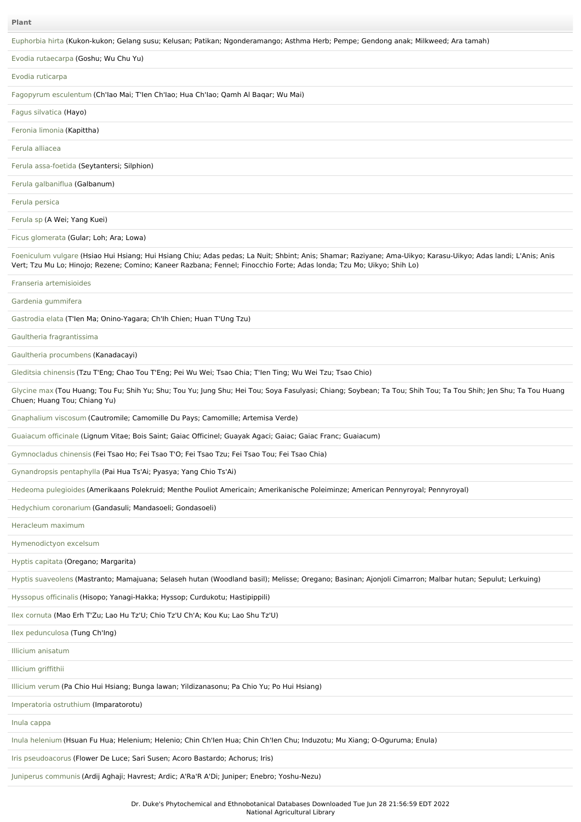#### **Plant**

[Euphorbia](file:///phytochem/ethnoPlants/show/649) hirta (Kukon-kukon; Gelang susu; Kelusan; Patikan; Ngonderamango; Asthma Herb; Pempe; Gendong anak; Milkweed; Ara tamah)

Evodia [rutaecarpa](file:///phytochem/ethnoPlants/show/53) (Goshu; Wu Chu Yu)

#### Evodia [ruticarpa](file:///phytochem/ethnoPlants/show/4628)

Fagopyrum [esculentum](file:///phytochem/ethnoPlants/show/4508) (Ch'Iao Mai; T'Ien Ch'Iao; Hua Ch'Iao; Qamh Al Baqar; Wu Mai)

Fagus [silvatica](file:///phytochem/ethnoPlants/show/4629) (Hayo)

[Feronia](file:///phytochem/ethnoPlants/show/1152) limonia (Kapittha)

Ferula [alliacea](file:///phytochem/ethnoPlants/show/2192)

Ferula [assa-foetida](file:///phytochem/ethnoPlants/show/2310) (Seytantersi; Silphion)

Ferula [galbaniflua](file:///phytochem/ethnoPlants/show/2312) (Galbanum)

Ferula [persica](file:///phytochem/ethnoPlants/show/2803)

[Ferula](file:///phytochem/ethnoPlants/show/4630) sp (A Wei; Yang Kuei)

Ficus [glomerata](file:///phytochem/ethnoPlants/show/1861) (Gular; Loh; Ara; Lowa)

[Foeniculum](file:///phytochem/ethnoPlants/show/55) vulgare (Hsiao Hui Hsiang; Hui Hsiang Chiu; Adas pedas; La Nuit; Shbint; Anis; Shamar; Raziyane; Ama-Uikyo; Karasu-Uikyo; Adas landi; L'Anis; Anis Vert; Tzu Mu Lo; Hinojo; Rezene; Comino; Kaneer Razbana; Fennel; Finocchio Forte; Adas londa; Tzu Mo; Uikyo; Shih Lo)

#### Franseria [artemisioides](file:///phytochem/ethnoPlants/show/4631)

Gardenia [gummifera](file:///phytochem/ethnoPlants/show/5700)

[Gastrodia](file:///phytochem/ethnoPlants/show/658) elata (T'Ien Ma; Onino-Yagara; Ch'Ih Chien; Huan T'Ung Tzu)

Gaultheria [fragrantissima](file:///phytochem/ethnoPlants/show/181)

Gaultheria [procumbens](file:///phytochem/ethnoPlants/show/2144) (Kanadacayi)

Gleditsia [chinensis](file:///phytochem/ethnoPlants/show/325) (Tzu T'Eng; Chao Tou T'Eng; Pei Wu Wei; Tsao Chia; T'Ien Ting; Wu Wei Tzu; Tsao Chio)

[Glycine](file:///phytochem/ethnoPlants/show/183) max (Tou Huang; Tou Fu; Shih Yu; Shu; Tou Yu; Jung Shu; Hei Tou; Soya Fasulyasi; Chiang; Soybean; Ta Tou; Shih Tou; Ta Tou Shih; Jen Shu; Ta Tou Huang Chuen; Huang Tou; Chiang Yu)

[Gnaphalium](file:///phytochem/ethnoPlants/show/5081) viscosum (Cautromile; Camomille Du Pays; Camomille; Artemisa Verde)

[Guaiacum](file:///phytochem/ethnoPlants/show/1280) officinale (Lignum Vitae; Bois Saint; Gaiac Officinel; Guayak Agaci; Gaiac; Gaiac Franc; Guaiacum)

[Gymnocladus](file:///phytochem/ethnoPlants/show/6436) chinensis (Fei Tsao Ho; Fei Tsao T'O; Fei Tsao Tzu; Fei Tsao Tou; Fei Tsao Chia)

[Gynandropsis](file:///phytochem/ethnoPlants/show/2146) pentaphylla (Pai Hua Ts'Ai; Pyasya; Yang Chio Ts'Ai)

Hedeoma [pulegioides](file:///phytochem/ethnoPlants/show/188) (Amerikaans Polekruid; Menthe Pouliot Americain; Amerikanische Poleiminze; American Pennyroyal; Pennyroyal)

[Hedychium](file:///phytochem/ethnoPlants/show/4632) coronarium (Gandasuli; Mandasoeli; Gondasoeli)

[Heracleum](file:///phytochem/ethnoPlants/show/2814) maximum

[Hymenodictyon](file:///phytochem/ethnoPlants/show/2112) excelsum

Hyptis [capitata](file:///phytochem/ethnoPlants/show/925) (Oregano; Margarita)

Hyptis [suaveolens](file:///phytochem/ethnoPlants/show/673) (Mastranto; Mamajuana; Selaseh hutan (Woodland basil); Melisse; Oregano; Basinan; Ajonjoli Cimarron; Malbar hutan; Sepulut; Lerkuing)

[Hyssopus](file:///phytochem/ethnoPlants/show/2894) officinalis (Hisopo; Yanagi-Hakka; Hyssop; Curdukotu; Hastipippili)

Ilex [cornuta](file:///phytochem/ethnoPlants/show/192) (Mao Erh T'Zu; Lao Hu Tz'U; Chio Tz'U Ch'A; Kou Ku; Lao Shu Tz'U)

Ilex [pedunculosa](file:///phytochem/ethnoPlants/show/11009) (Tung Ch'Ing)

Illicium [anisatum](file:///phytochem/ethnoPlants/show/4633)

Illicium [griffithii](file:///phytochem/ethnoPlants/show/3066)

[Illicium](file:///phytochem/ethnoPlants/show/1698) verum (Pa Chio Hui Hsiang; Bunga lawan; Yildizanasonu; Pa Chio Yu; Po Hui Hsiang)

[Imperatoria](file:///phytochem/ethnoPlants/show/2637) ostruthium (Imparatorotu)

Inula [cappa](file:///phytochem/ethnoPlants/show/445)

Inula [helenium](file:///phytochem/ethnoPlants/show/1291) (Hsuan Fu Hua; Helenium; Helenio; Chin Ch'Ien Hua; Chin Ch'Ien Chu; Induzotu; Mu Xiang; O-Oguruma; Enula)

Iris [pseudoacorus](file:///phytochem/ethnoPlants/show/3069) (Flower De Luce; Sari Susen; Acoro Bastardo; Achorus; Iris)

Juniperus [communis](file:///phytochem/ethnoPlants/show/2678) (Ardij Aghaji; Havrest; Ardic; A'Ra'R A'Di; Juniper; Enebro; Yoshu-Nezu)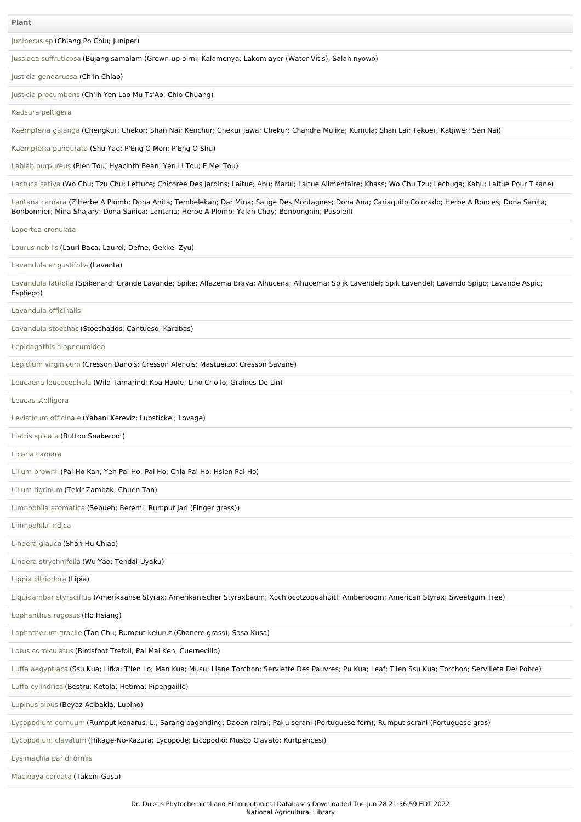[Juniperus](file:///phytochem/ethnoPlants/show/2207) sp (Chiang Po Chiu; Juniper)

Jussiaea [suffruticosa](file:///phytochem/ethnoPlants/show/687) (Bujang samalam (Grown-up o'rni; Kalamenya; Lakom ayer (Water Vitis); Salah nyowo)

Justicia [gendarussa](file:///phytochem/ethnoPlants/show/516) (Ch'In Chiao)

Justicia [procumbens](file:///phytochem/ethnoPlants/show/447) (Ch'Ih Yen Lao Mu Ts'Ao; Chio Chuang)

Kadsura [peltigera](file:///phytochem/ethnoPlants/show/5388)

[Kaempferia](file:///phytochem/ethnoPlants/show/67) galanga (Chengkur; Chekor; Shan Nai; Kenchur; Chekur jawa; Chekur; Chandra Mulika; Kumula; Shan Lai; Tekoer; Katjiwer; San Nai)

[Kaempferia](file:///phytochem/ethnoPlants/show/4634) pundurata (Shu Yao; P'Eng O Mon; P'Eng O Shu)

Lablab [purpureus](file:///phytochem/ethnoPlants/show/517) (Pien Tou; Hyacinth Bean; Yen Li Tou; E Mei Tou)

[Lactuca](file:///phytochem/ethnoPlants/show/1484) sativa (Wo Chu; Tzu Chu; Lettuce; Chicoree Des Jardins; Laitue; Abu; Marul; Laitue Alimentaire; Khass; Wo Chu Tzu; Lechuga; Kahu; Laitue Pour Tisane)

[Lantana](file:///phytochem/ethnoPlants/show/70) camara (Z'Herbe A Plomb; Dona Anita; Tembelekan; Dar Mina; Sauge Des Montagnes; Dona Ana; Cariaquito Colorado; Herbe A Ronces; Dona Sanita; Bonbonnier; Mina Shajary; Dona Sanica; Lantana; Herbe A Plomb; Yalan Chay; Bonbongnin; Ptisoleil)

Laportea [crenulata](file:///phytochem/ethnoPlants/show/337)

[Laurus](file:///phytochem/ethnoPlants/show/4635) nobilis (Lauri Baca; Laurel; Defne; Gekkei-Zyu)

Lavandula [angustifolia](file:///phytochem/ethnoPlants/show/4636) (Lavanta)

[Lavandula](file:///phytochem/ethnoPlants/show/198) latifolia (Spikenard; Grande Lavande; Spike; Alfazema Brava; Alhucena; Alhucema; Spijk Lavendel; Spik Lavendel; Lavando Spigo; Lavande Aspic; Espliego)

[Lavandula](file:///phytochem/ethnoPlants/show/7296) officinalis

[Lavandula](file:///phytochem/ethnoPlants/show/691) stoechas (Stoechados; Cantueso; Karabas)

Lepidagathis [alopecuroidea](file:///phytochem/ethnoPlants/show/4637)

Lepidium [virginicum](file:///phytochem/ethnoPlants/show/4920) (Cresson Danois; Cresson Alenois; Mastuerzo; Cresson Savane)

Leucaena [leucocephala](file:///phytochem/ethnoPlants/show/4638) (Wild Tamarind; Koa Haole; Lino Criollo; Graines De Lin)

Leucas [stelligera](file:///phytochem/ethnoPlants/show/4639)

[Levisticum](file:///phytochem/ethnoPlants/show/200) officinale (Yabani Kereviz; Lubstickel; Lovage)

Liatris [spicata](file:///phytochem/ethnoPlants/show/4640) (Button Snakeroot)

Licaria [camara](file:///phytochem/ethnoPlants/show/4600)

Lilium [brownii](file:///phytochem/ethnoPlants/show/3965) (Pai Ho Kan; Yeh Pai Ho; Pai Ho; Chia Pai Ho; Hsien Pai Ho)

Lilium [tigrinum](file:///phytochem/ethnoPlants/show/1555) (Tekir Zambak; Chuen Tan)

[Limnophila](file:///phytochem/ethnoPlants/show/2215) aromatica (Sebueh; Beremi; Rumput jari (Finger grass))

[Limnophila](file:///phytochem/ethnoPlants/show/2216) indica

[Lindera](file:///phytochem/ethnoPlants/show/10060) glauca (Shan Hu Chiao)

Lindera [strychnifolia](file:///phytochem/ethnoPlants/show/448) (Wu Yao; Tendai-Uyaku)

Lippia [citriodora](file:///phytochem/ethnoPlants/show/408) (Lipia)

[Liquidambar](file:///phytochem/ethnoPlants/show/703) styraciflua (Amerikaanse Styrax; Amerikanischer Styraxbaum; Xochiocotzoquahuitl; Amberboom; American Styrax; Sweetgum Tree)

[Lophanthus](file:///phytochem/ethnoPlants/show/4477) rugosus (Ho Hsiang)

[Lophatherum](file:///phytochem/ethnoPlants/show/2369) gracile (Tan Chu; Rumput kelurut (Chancre grass); Sasa-Kusa)

Lotus [corniculatus](file:///phytochem/ethnoPlants/show/4641) (Birdsfoot Trefoil; Pai Mai Ken; Cuernecillo)

Luffa [aegyptiaca](file:///phytochem/ethnoPlants/show/1464) (Ssu Kua; Lifka; T'Ien Lo; Man Kua; Musu; Liane Torchon; Serviette Des Pauvres; Pu Kua; Leaf; T'Ien Ssu Kua; Torchon; Servilleta Del Pobre)

Luffa [cylindrica](file:///phytochem/ethnoPlants/show/4642) (Bestru; Ketola; Hetima; Pipengaille)

[Lupinus](file:///phytochem/ethnoPlants/show/1302) albus (Beyaz Acibakla; Lupino)

[Lycopodium](file:///phytochem/ethnoPlants/show/1722) cernuum (Rumput kenarus; L.; Sarang baganding; Daoen rairai; Paku serani (Portuguese fern); Rumput serani (Portuguese gras)

[Lycopodium](file:///phytochem/ethnoPlants/show/708) clavatum (Hikage-No-Kazura; Lycopode; Licopodio; Musco Clavato; Kurtpencesi)

Lysimachia [paridiformis](file:///phytochem/ethnoPlants/show/944)

[Macleaya](file:///phytochem/ethnoPlants/show/342) cordata (Takeni-Gusa)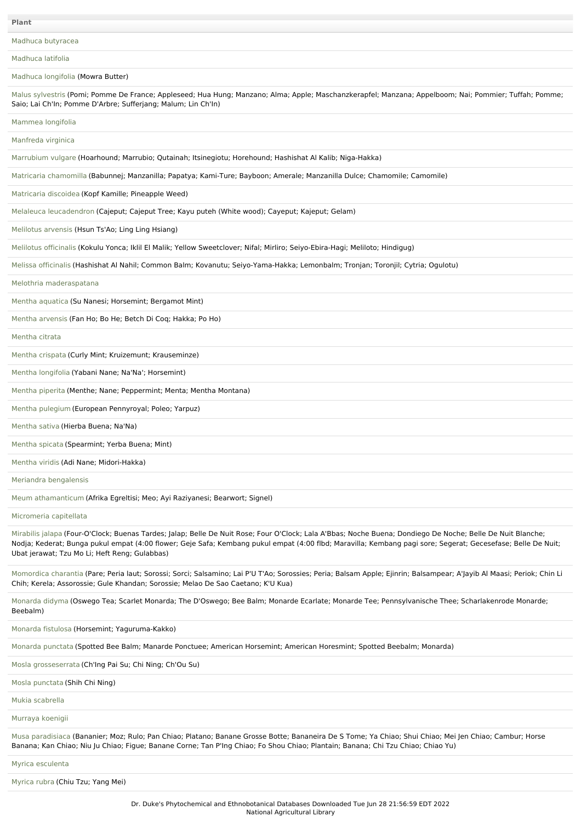Madhuca [butyracea](file:///phytochem/ethnoPlants/show/2561)

[Madhuca](file:///phytochem/ethnoPlants/show/3426) latifolia

[Madhuca](file:///phytochem/ethnoPlants/show/1022) longifolia (Mowra Butter)

Malus [sylvestris](file:///phytochem/ethnoPlants/show/2465) (Pomi; Pomme De France; Appleseed; Hua Hung; Manzano; Alma; Apple; Maschanzkerapfel; Manzana; Appelboom; Nai; Pommier; Tuffah; Pomme; Saio; Lai Ch'In; Pomme D'Arbre; Sufferjang; Malum; Lin Ch'In)

[Mammea](file:///phytochem/ethnoPlants/show/3099) longifolia

[Manfreda](file:///phytochem/ethnoPlants/show/4644) virginica

[Marrubium](file:///phytochem/ethnoPlants/show/1305) vulgare (Hoarhound; Marrubio; Qutainah; Itsinegiotu; Horehound; Hashishat Al Kalib; Niga-Hakka)

Matricaria [chamomilla](file:///phytochem/ethnoPlants/show/521) (Babunnej; Manzanilla; Papatya; Kami-Ture; Bayboon; Amerale; Manzanilla Dulce; Chamomile; Camomile)

[Matricaria](file:///phytochem/ethnoPlants/show/4645) discoidea (Kopf Kamille; Pineapple Weed)

Melaleuca [leucadendron](file:///phytochem/ethnoPlants/show/546) (Cajeput; Cajeput Tree; Kayu puteh (White wood); Cayeput; Kajeput; Gelam)

[Melilotus](file:///phytochem/ethnoPlants/show/1729) arvensis (Hsun Ts'Ao; Ling Ling Hsiang)

[Melilotus](file:///phytochem/ethnoPlants/show/1730) officinalis (Kokulu Yonca; Iklil El Malik; Yellow Sweetclover; Nifal; Mirliro; Seiyo-Ebira-Hagi; Meliloto; Hindigug)

Melissa [officinalis](file:///phytochem/ethnoPlants/show/715) (Hashishat Al Nahil; Common Balm; Kovanutu; Seiyo-Yama-Hakka; Lemonbalm; Tronjan; Toronjil; Cytria; Ogulotu)

Melothria [maderaspatana](file:///phytochem/ethnoPlants/show/4646)

Mentha [aquatica](file:///phytochem/ethnoPlants/show/3104) (Su Nanesi; Horsemint; Bergamot Mint)

Mentha [arvensis](file:///phytochem/ethnoPlants/show/414) (Fan Ho; Bo He; Betch Di Coq; Hakka; Po Ho)

[Mentha](file:///phytochem/ethnoPlants/show/4647) citrata

Mentha [crispata](file:///phytochem/ethnoPlants/show/4648) (Curly Mint; Kruizemunt; Krauseminze)

Mentha [longifolia](file:///phytochem/ethnoPlants/show/2222) (Yabani Nane; Na'Na'; Horsemint)

[Mentha](file:///phytochem/ethnoPlants/show/716) piperita (Menthe; Nane; Peppermint; Menta; Mentha Montana)

Mentha [pulegium](file:///phytochem/ethnoPlants/show/2223) (European Pennyroyal; Poleo; Yarpuz)

[Mentha](file:///phytochem/ethnoPlants/show/8002) sativa (Hierba Buena; Na'Na)

[Mentha](file:///phytochem/ethnoPlants/show/1970) spicata (Spearmint; Yerba Buena; Mint)

[Mentha](file:///phytochem/ethnoPlants/show/1465) viridis (Adi Nane; Midori-Hakka)

Meriandra [bengalensis](file:///phytochem/ethnoPlants/show/2102)

Meum [athamanticum](file:///phytochem/ethnoPlants/show/4571) (Afrika Egreltisi; Meo; Ayi Raziyanesi; Bearwort; Signel)

[Micromeria](file:///phytochem/ethnoPlants/show/4649) capitellata

[Mirabilis](file:///phytochem/ethnoPlants/show/347) jalapa (Four-O'Clock; Buenas Tardes; Jalap; Belle De Nuit Rose; Four O'Clock; Lala A'Bbas; Noche Buena; Dondiego De Noche; Belle De Nuit Blanche; Nodja; Kederat; Bunga pukul empat (4:00 flower; Geje Safa; Kembang pukul empat (4:00 flbd; Maravilla; Kembang pagi sore; Segerat; Gecesefase; Belle De Nuit; Ubat jerawat; Tzu Mo Li; Heft Reng; Gulabbas)

[Momordica](file:///phytochem/ethnoPlants/show/79) charantia (Pare; Peria laut; Sorossi; Sorci; Salsamino; Lai P'U T'Ao; Sorossies; Peria; Balsam Apple; Ejinrin; Balsampear; A'Jayib Al Maasi; Periok; Chin Li Chih; Kerela; Assorossie; Gule Khandan; Sorossie; Melao De Sao Caetano; K'U Kua)

[Monarda](file:///phytochem/ethnoPlants/show/2471) didyma (Oswego Tea; Scarlet Monarda; The D'Oswego; Bee Balm; Monarde Ecarlate; Monarde Tee; Pennsylvanische Thee; Scharlakenrode Monarde; Beebalm)

[Monarda](file:///phytochem/ethnoPlants/show/720) fistulosa (Horsemint; Yaguruma-Kakko)

[Monarda](file:///phytochem/ethnoPlants/show/4650) punctata (Spotted Bee Balm; Manarde Ponctuee; American Horsemint; American Horesmint; Spotted Beebalm; Monarda)

Mosla [grosseserrata](file:///phytochem/ethnoPlants/show/4651) (Ch'Ing Pai Su; Chi Ning; Ch'Ou Su)

Mosla [punctata](file:///phytochem/ethnoPlants/show/4867) (Shih Chi Ning)

Mukia [scabrella](file:///phytochem/ethnoPlants/show/2403)

[Murraya](file:///phytochem/ethnoPlants/show/1736) koenigii

Musa [paradisiaca](file:///phytochem/ethnoPlants/show/352) (Bananier; Moz; Rulo; Pan Chiao; Platano; Banane Grosse Botte; Bananeira De S Tome; Ya Chiao; Shui Chiao; Mei Jen Chiao; Cambur; Horse Banana; Kan Chiao; Niu Ju Chiao; Figue; Banane Corne; Tan P'Ing Chiao; Fo Shou Chiao; Plantain; Banana; Chi Tzu Chiao; Chiao Yu)

Myrica [esculenta](file:///phytochem/ethnoPlants/show/726)

[Myrica](file:///phytochem/ethnoPlants/show/2017) rubra (Chiu Tzu; Yang Mei)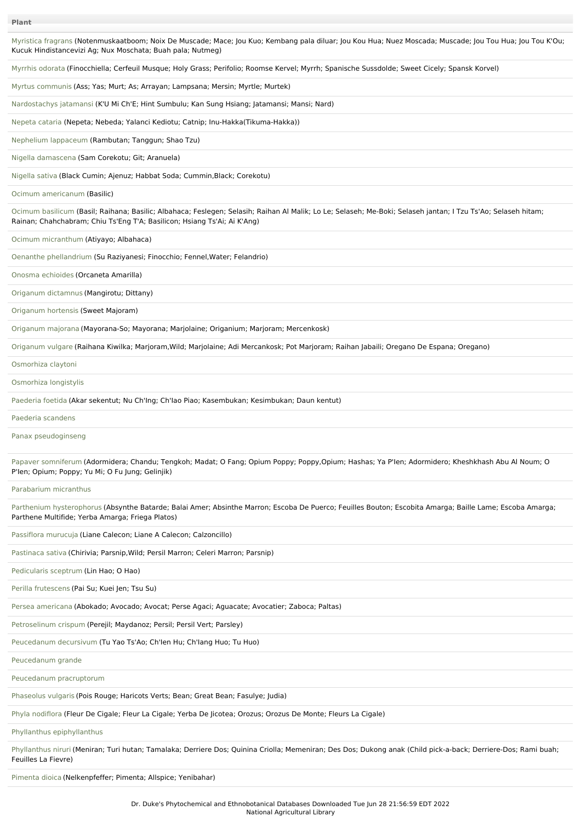| Myristica fragrans (Notenmuskaatboom; Noix De Muscade; Mace; Jou Kuo; Kembang pala diluar; Jou Kou Hua; Nuez Moscada; Muscade; Jou Tou Hua; Jou Tou K'Ou;<br>Kucuk Hindistancevizi Ag; Nux Moschata; Buah pala; Nutmeg)                   |
|-------------------------------------------------------------------------------------------------------------------------------------------------------------------------------------------------------------------------------------------|
| Myrrhis odorata (Finocchiella; Cerfeuil Musque; Holy Grass; Perifolio; Roomse Kervel; Myrrh; Spanische Sussdolde; Sweet Cicely; Spansk Korvel)                                                                                            |
| Myrtus communis (Ass; Yas; Murt; As; Arrayan; Lampsana; Mersin; Myrtle; Murtek)                                                                                                                                                           |
| Nardostachys jatamansi (K'U Mi Ch'E; Hint Sumbulu; Kan Sung Hsiang; Jatamansi; Mansi; Nard)                                                                                                                                               |
| Nepeta cataria (Nepeta; Nebeda; Yalanci Kediotu; Catnip; Inu-Hakka(Tikuma-Hakka))                                                                                                                                                         |
| Nephelium lappaceum (Rambutan; Tanggun; Shao Tzu)                                                                                                                                                                                         |
| Nigella damascena (Sam Corekotu; Git; Aranuela)                                                                                                                                                                                           |
| Nigella sativa (Black Cumin; Ajenuz; Habbat Soda; Cummin, Black; Corekotu)                                                                                                                                                                |
| Ocimum americanum (Basilic)                                                                                                                                                                                                               |
| Ocimum basilicum (Basil; Raihana; Basilic; Albahaca; Feslegen; Selasih; Raihan Al Malik; Lo Le; Selaseh; Me-Boki; Selaseh jantan; I Tzu Ts'Ao; Selaseh hitam;<br>Rainan; Chahchabram; Chiu Ts'Eng T'A; Basilicon; Hsiang Ts'Ai; Ai K'Ang) |
| Ocimum micranthum (Atiyayo; Albahaca)                                                                                                                                                                                                     |
| Oenanthe phellandrium (Su Raziyanesi; Finocchio; Fennel, Water; Felandrio)                                                                                                                                                                |
| Onosma echioides (Orcaneta Amarilla)                                                                                                                                                                                                      |
| Origanum dictamnus (Mangirotu; Dittany)                                                                                                                                                                                                   |
| Origanum hortensis (Sweet Majoram)                                                                                                                                                                                                        |
| Origanum majorana (Mayorana-So; Mayorana; Marjolaine; Origanium; Marjoram; Mercenkosk)                                                                                                                                                    |
| Origanum vulgare (Raihana Kiwilka; Marjoram,Wild; Marjolaine; Adi Mercankosk; Pot Marjoram; Raihan Jabaili; Oregano De Espana; Oregano)                                                                                                   |
| Osmorhiza claytoni                                                                                                                                                                                                                        |
| Osmorhiza longistylis                                                                                                                                                                                                                     |
| Paederia foetida (Akar sekentut; Nu Ch'Ing; Ch'Iao Piao; Kasembukan; Kesimbukan; Daun kentut)                                                                                                                                             |
| Paederia scandens                                                                                                                                                                                                                         |
| Panax pseudoginseng                                                                                                                                                                                                                       |
| Papaver somniferum (Adormidera; Chandu; Tengkoh; Madat; O Fang; Opium Poppy; Poppy,Opium; Hashas; Ya P'len; Adormidero; Kheshkhash Abu Al Noum; O<br>P'len; Opium; Poppy; Yu Mi; O Fu Jung; Gelinjik)                                     |
| Parabarium micranthus                                                                                                                                                                                                                     |
| Parthenium hysterophorus (Absynthe Batarde; Balai Amer; Absinthe Marron; Escoba De Puerco; Feuilles Bouton; Escobita Amarga; Baille Lame; Escoba Amarga;<br>Parthene Multifide; Yerba Amarga; Friega Platos)                              |
| Passiflora murucuja (Liane Calecon; Liane A Calecon; Calzoncillo)                                                                                                                                                                         |
| Pastinaca sativa (Chirivia; Parsnip, Wild; Persil Marron; Celeri Marron; Parsnip)                                                                                                                                                         |
| Pedicularis sceptrum (Lin Hao; O Hao)                                                                                                                                                                                                     |
| Perilla frutescens (Pai Su; Kuei Jen; Tsu Su)                                                                                                                                                                                             |
| Persea americana (Abokado; Avocado; Avocat; Perse Agaci; Aguacate; Avocatier; Zaboca; Paltas)                                                                                                                                             |
| Petroselinum crispum (Perejil; Maydanoz; Persil; Persil Vert; Parsley)                                                                                                                                                                    |
| Peucedanum decursivum (Tu Yao Ts'Ao; Ch'len Hu; Ch'lang Huo; Tu Huo)                                                                                                                                                                      |
| Peucedanum grande                                                                                                                                                                                                                         |
|                                                                                                                                                                                                                                           |

Peucedanum [pracruptorum](file:///phytochem/ethnoPlants/show/753)

[Phaseolus](file:///phytochem/ethnoPlants/show/1116) vulgaris (Pois Rouge; Haricots Verts; Bean; Great Bean; Fasulye; Judia)

Phyla [nodiflora](file:///phytochem/ethnoPlants/show/3806) (Fleur De Cigale; Fleur La Cigale; Yerba De Jicotea; Orozus; Orozus De Monte; Fleurs La Cigale)

Phyllanthus [epiphyllanthus](file:///phytochem/ethnoPlants/show/4656)

[Phyllanthus](file:///phytochem/ethnoPlants/show/958) niruri (Meniran; Turi hutan; Tamalaka; Derriere Dos; Quinina Criolla; Memeniran; Des Dos; Dukong anak (Child pick-a-back; Derriere-Dos; Rami buah; Feuilles La Fievre)

[Pimenta](file:///phytochem/ethnoPlants/show/1764) dioica (Nelkenpfeffer; Pimenta; Allspice; Yenibahar)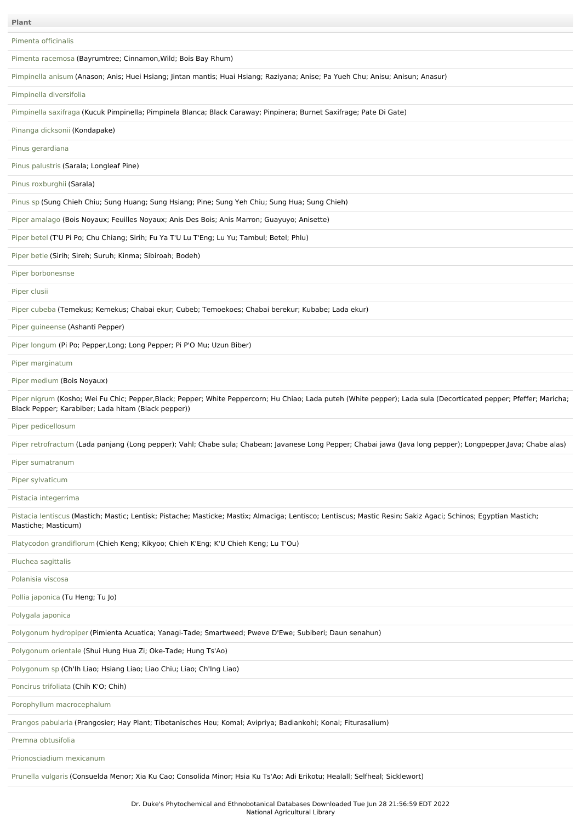Pimenta [officinalis](file:///phytochem/ethnoPlants/show/4657)

Pimenta [racemosa](file:///phytochem/ethnoPlants/show/755) (Bayrumtree; Cinnamon,Wild; Bois Bay Rhum)

[Pimpinella](file:///phytochem/ethnoPlants/show/1765) anisum (Anason; Anis; Huei Hsiang; Jintan mantis; Huai Hsiang; Raziyana; Anise; Pa Yueh Chu; Anisu; Anisun; Anasur)

Pimpinella [diversifolia](file:///phytochem/ethnoPlants/show/11389)

[Pimpinella](file:///phytochem/ethnoPlants/show/2130) saxifraga (Kucuk Pimpinella; Pimpinela Blanca; Black Caraway; Pinpinera; Burnet Saxifrage; Pate Di Gate)

Pinanga [dicksoni](file:///phytochem/ethnoPlants/show/4658)i (Kondapake)

Pinus [gerardiana](file:///phytochem/ethnoPlants/show/4659)

Pinus [palustris](file:///phytochem/ethnoPlants/show/2242) (Sarala; Longleaf Pine)

Pinus [roxburghii](file:///phytochem/ethnoPlants/show/3339) (Sarala)

[Pinus](file:///phytochem/ethnoPlants/show/1768) sp (Sung Chieh Chiu; Sung Huang; Sung Hsiang; Pine; Sung Yeh Chiu; Sung Hua; Sung Chieh)

Piper [amalago](file:///phytochem/ethnoPlants/show/2578) (Bois Noyaux; Feuilles Noyaux; Anis Des Bois; Anis Marron; Guayuyo; Anisette)

[Piper](file:///phytochem/ethnoPlants/show/1050) betel (T'U Pi Po; Chu Chiang; Sirih; Fu Ya T'U Lu T'Eng; Lu Yu; Tambul; Betel; Phlu)

[Piper](file:///phytochem/ethnoPlants/show/366) betle (Sirih; Sireh; Suruh; Kinma; Sibiroah; Bodeh)

Piper [borbonesnse](file:///phytochem/ethnoPlants/show/2246)

[Piper](file:///phytochem/ethnoPlants/show/2247) clusii

Piper [cubeba](file:///phytochem/ethnoPlants/show/2248) (Temekus; Kemekus; Chabai ekur; Cubeb; Temoekoes; Chabai berekur; Kubabe; Lada ekur)

Piper [guineense](file:///phytochem/ethnoPlants/show/458) (Ashanti Pepper)

Piper [longum](file:///phytochem/ethnoPlants/show/759) (Pi Po; Pepper,Long; Long Pepper; Pi P'O Mu; Uzun Biber)

Piper [marginatum](file:///phytochem/ethnoPlants/show/760)

Piper [medium](file:///phytochem/ethnoPlants/show/3587) (Bois Noyaux)

Piper [nigrum](file:///phytochem/ethnoPlants/show/214) (Kosho; Wei Fu Chic; Pepper,Black; Pepper; White Peppercorn; Hu Chiao; Lada puteh (White pepper); Lada sula (Decorticated pepper; Pfeffer; Maricha; Black Pepper; Karabiber; Lada hitam (Black pepper))

Piper [pedicellosum](file:///phytochem/ethnoPlants/show/2250)

Piper [retrofractum](file:///phytochem/ethnoPlants/show/2579) (Lada panjang (Long pepper); Vahl; Chabe sula; Chabean; Javanese Long Pepper; Chabai jawa (Java long pepper); Longpepper,Java; Chabe alas)

Piper [sumatranum](file:///phytochem/ethnoPlants/show/2251)

Piper [sylvaticum](file:///phytochem/ethnoPlants/show/11394)

Pistacia [integerrima](file:///phytochem/ethnoPlants/show/8643)

Pistacia [lentiscus](file:///phytochem/ethnoPlants/show/1468) (Mastich; Mastic; Lentisk; Pistache; Masticke; Mastix; Almaciga; Lentisco; Lentiscus; Mastic Resin; Sakiz Agaci; Schinos; Egyptian Mastich; Mastiche; Masticum)

Platycodon [grandiflorum](file:///phytochem/ethnoPlants/show/2642) (Chieh Keng; Kikyoo; Chieh K'Eng; K'U Chieh Keng; Lu T'Ou)

Pluchea [sagittalis](file:///phytochem/ethnoPlants/show/4660)

[Polanisia](file:///phytochem/ethnoPlants/show/536) viscosa

Pollia [japonica](file:///phytochem/ethnoPlants/show/4661) (Tu Heng; Tu Jo)

[Polygala](file:///phytochem/ethnoPlants/show/5420) japonica

[Polygonum](file:///phytochem/ethnoPlants/show/2683) hydropiper (Pimienta Acuatica; Yanagi-Tade; Smartweed; Pweve D'Ewe; Subiberi; Daun senahun)

[Polygonum](file:///phytochem/ethnoPlants/show/3869) orientale (Shui Hung Hua Zi; Oke-Tade; Hung Ts'Ao)

[Polygonum](file:///phytochem/ethnoPlants/show/3492) sp (Ch'Ih Liao; Hsiang Liao; Liao Chiu; Liao; Ch'Ing Liao)

[Poncirus](file:///phytochem/ethnoPlants/show/4662) trifoliata (Chih K'O; Chih)

Porophyllum [macrocephalum](file:///phytochem/ethnoPlants/show/971)

Prangos [pabularia](file:///phytochem/ethnoPlants/show/2258) (Prangosier; Hay Plant; Tibetanisches Heu; Komal; Avipriya; Badiankohi; Konal; Fiturasalium)

Premna [obtusifolia](file:///phytochem/ethnoPlants/show/3345)

[Prionosciadium](file:///phytochem/ethnoPlants/show/3711) mexicanum

[Prunella](file:///phytochem/ethnoPlants/show/374) vulgaris (Consuelda Menor; Xia Ku Cao; Consolida Minor; Hsia Ku Ts'Ao; Adi Erikotu; Healall; Selfheal; Sicklewort)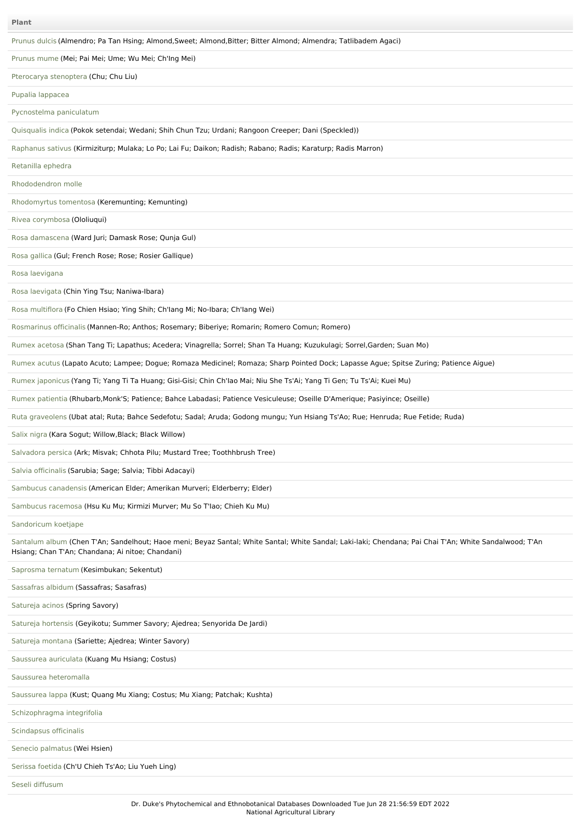| Plant                                                                                                                                                                                                      |
|------------------------------------------------------------------------------------------------------------------------------------------------------------------------------------------------------------|
| Prunus dulcis (Almendro; Pa Tan Hsing; Almond, Sweet; Almond, Bitter; Bitter Almond; Almendra; Tatlibadem Agaci)                                                                                           |
| Prunus mume (Mei; Pai Mei; Ume; Wu Mei; Ch'Ing Mei)                                                                                                                                                        |
| Pterocarya stenoptera (Chu; Chu Liu)                                                                                                                                                                       |
| Pupalia lappacea                                                                                                                                                                                           |
| Pycnostelma paniculatum                                                                                                                                                                                    |
| Quisqualis indica (Pokok setendai; Wedani; Shih Chun Tzu; Urdani; Rangoon Creeper; Dani (Speckled))                                                                                                        |
| Raphanus sativus (Kirmiziturp; Mulaka; Lo Po; Lai Fu; Daikon; Radish; Rabano; Radis; Karaturp; Radis Marron)                                                                                               |
| Retanilla ephedra                                                                                                                                                                                          |
| Rhododendron molle                                                                                                                                                                                         |
| Rhodomyrtus tomentosa (Keremunting; Kemunting)                                                                                                                                                             |
| Rivea corymbosa (Ololiuqui)                                                                                                                                                                                |
| Rosa damascena (Ward Juri; Damask Rose; Qunja Gul)                                                                                                                                                         |
| Rosa gallica (Gul; French Rose; Rose; Rosier Gallique)                                                                                                                                                     |
| Rosa laevigana                                                                                                                                                                                             |
| Rosa laevigata (Chin Ying Tsu; Naniwa-Ibara)                                                                                                                                                               |
| Rosa multiflora (Fo Chien Hsiao; Ying Shih; Ch'lang Mi; No-Ibara; Ch'lang Wei)                                                                                                                             |
| Rosmarinus officinalis (Mannen-Ro; Anthos; Rosemary; Biberiye; Romarin; Romero Comun; Romero)                                                                                                              |
| Rumex acetosa (Shan Tang Ti; Lapathus; Acedera; Vinagrella; Sorrel; Shan Ta Huang; Kuzukulagi; Sorrel, Garden; Suan Mo)                                                                                    |
| Rumex acutus (Lapato Acuto; Lampee; Dogue; Romaza Medicinel; Romaza; Sharp Pointed Dock; Lapasse Ague; Spitse Zuring; Patience Aigue)                                                                      |
| Rumex japonicus (Yang Ti; Yang Ti Ta Huang; Gisi-Gisi; Chin Ch'lao Mai; Niu She Ts'Ai; Yang Ti Gen; Tu Ts'Ai; Kuei Mu)                                                                                     |
| Rumex patientia (Rhubarb, Monk'S; Patience; Bahce Labadasi; Patience Vesiculeuse; Oseille D'Amerique; Pasiyince; Oseille)                                                                                  |
| Ruta graveolens (Ubat atal; Ruta; Bahce Sedefotu; Sadal; Aruda; Godong mungu; Yun Hsiang Ts'Ao; Rue; Henruda; Rue Fetide; Ruda)                                                                            |
| Salix nigra (Kara Sogut; Willow, Black; Black Willow)                                                                                                                                                      |
| Salvadora persica (Ark; Misvak; Chhota Pilu; Mustard Tree; Toothhbrush Tree)                                                                                                                               |
| Salvia officinalis (Sarubia; Sage; Salvia; Tibbi Adacayi)                                                                                                                                                  |
| Sambucus canadensis (American Elder; Amerikan Murveri; Elderberry; Elder)                                                                                                                                  |
| Sambucus racemosa (Hsu Ku Mu; Kirmizi Murver; Mu So T'lao; Chieh Ku Mu)                                                                                                                                    |
| Sandoricum koetjape                                                                                                                                                                                        |
| Santalum album (Chen T'An; Sandelhout; Haoe meni; Beyaz Santal; White Santal; White Sandal; Laki-laki; Chendana; Pai Chai T'An; White Sandalwood; T'An<br>Hsiang; Chan T'An; Chandana; Ai nitoe; Chandani) |
| Saprosma ternatum (Kesimbukan; Sekentut)                                                                                                                                                                   |
| Sassafras albidum (Sassafras; Sasafras)                                                                                                                                                                    |
| Satureja acinos (Spring Savory)                                                                                                                                                                            |
| Satureja hortensis (Geyikotu; Summer Savory; Ajedrea; Senyorida De Jardi)                                                                                                                                  |
| Satureja montana (Sariette; Ajedrea; Winter Savory)                                                                                                                                                        |
| Saussurea auriculata (Kuang Mu Hsiang; Costus)                                                                                                                                                             |
| Saussurea heteromalla                                                                                                                                                                                      |
| Saussurea lappa (Kust; Quang Mu Xiang; Costus; Mu Xiang; Patchak; Kushta)                                                                                                                                  |
| Schizophragma integrifolia                                                                                                                                                                                 |
| Scindapsus officinalis                                                                                                                                                                                     |
| Senecio palmatus (Wei Hsien)                                                                                                                                                                               |
| Serissa foetida (Ch'U Chieh Ts'Ao; Liu Yueh Ling)                                                                                                                                                          |
| Seseli diffusum                                                                                                                                                                                            |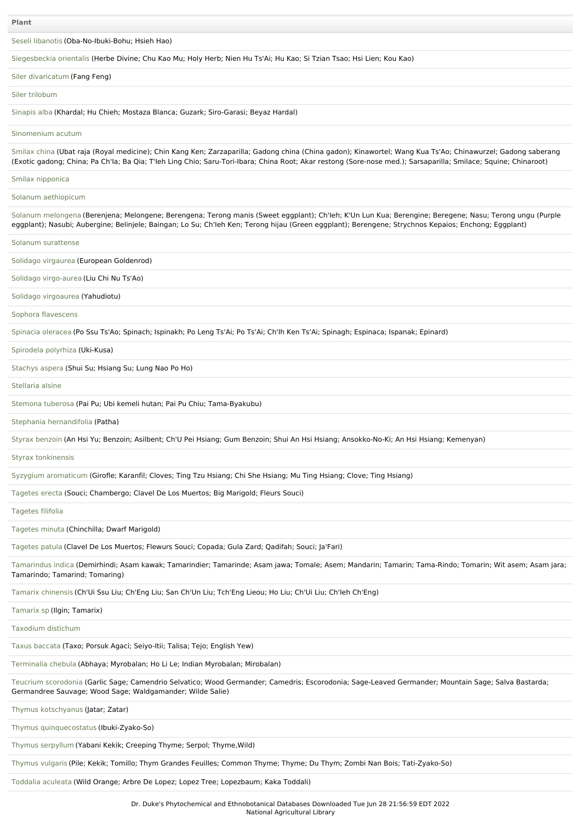Seseli [libanotis](file:///phytochem/ethnoPlants/show/4668) (Oba-No-Ibuki-Bohu; Hsieh Hao)

[Siegesbeckia](file:///phytochem/ethnoPlants/show/1106) orientalis (Herbe Divine; Chu Kao Mu; Holy Herb; Nien Hu Ts'Ai; Hu Kao; Si Tzian Tsao; Hsi Lien; Kou Kao)

### Siler [divaricatum](file:///phytochem/ethnoPlants/show/792) (Fang Feng)

#### Siler [trilobum](file:///phytochem/ethnoPlants/show/4669)

[Sinapis](file:///phytochem/ethnoPlants/show/2489) alba (Khardal; Hu Chieh; Mostaza Blanca; Guzark; Siro-Garasi; Beyaz Hardal)

# [Sinomenium](file:///phytochem/ethnoPlants/show/1815) acutum

[Smilax](file:///phytochem/ethnoPlants/show/1346) china (Ubat raja (Royal medicine); Chin Kang Ken; Zarzaparilla; Gadong china (China gadon); Kinawortel; Wang Kua Ts'Ao; Chinawurzel; Gadong saberang (Exotic gadong; China; Pa Ch'Ia; Ba Qia; T'Ieh Ling Chio; Saru-Tori-Ibara; China Root; Akar restong (Sore-nose med.); Sarsaparilla; Smilace; Squine; Chinaroot)

#### Smilax [nipponica](file:///phytochem/ethnoPlants/show/1427)

Solanum [aethiopicum](file:///phytochem/ethnoPlants/show/4670)

Solanum [melongena](file:///phytochem/ethnoPlants/show/389) (Berenjena; Melongene; Berengena; Terong manis (Sweet eggplant); Ch'Ieh; K'Un Lun Kua; Berengine; Beregene; Nasu; Terong ungu (Purple eggplant); Nasubi; Aubergine; Belinjele; Baingan; Lo Su; Ch'Ieh Ken; Terong hijau (Green eggplant); Berengene; Strychnos Kepaios; Enchong; Eggplant)

Solanum [surattense](file:///phytochem/ethnoPlants/show/1820)

Solidago [virgaurea](file:///phytochem/ethnoPlants/show/3222) (European Goldenrod)

Solidago [virgo-aurea](file:///phytochem/ethnoPlants/show/3686) (Liu Chi Nu Ts'Ao)

Solidago [virgoaurea](file:///phytochem/ethnoPlants/show/798) (Yahudiotu)

Sophora [flavescens](file:///phytochem/ethnoPlants/show/1167)

[Spinacia](file:///phytochem/ethnoPlants/show/3227) oleracea (Po Ssu Ts'Ao; Spinach; Ispinakh; Po Leng Ts'Ai; Po Ts'Ai; Ch'Ih Ken Ts'Ai; Spinagh; Espinaca; Ispanak; Epinard)

## [Spirodela](file:///phytochem/ethnoPlants/show/6312) polyrhiza (Uki-Kusa)

[Stachys](file:///phytochem/ethnoPlants/show/3229) aspera (Shui Su; Hsiang Su; Lung Nao Po Ho)

[Stellaria](file:///phytochem/ethnoPlants/show/3620) alsine

[Stemona](file:///phytochem/ethnoPlants/show/2349) tuberosa (Pai Pu; Ubi kemeli hutan; Pai Pu Chiu; Tama-Byakubu)

Stephania [hernandifolia](file:///phytochem/ethnoPlants/show/118) (Patha)

Styrax [benzoin](file:///phytochem/ethnoPlants/show/2276) (An Hsi Yu; Benzoin; Asilbent; Ch'U Pei Hsiang; Gum Benzoin; Shui An Hsi Hsiang; Ansokko-No-Ki; An Hsi Hsiang; Kemenyan)

Styrax [tonkinensis](file:///phytochem/ethnoPlants/show/2277)

Syzygium [aromaticum](file:///phytochem/ethnoPlants/show/1476) (Girofle; Karanfil; Cloves; Ting Tzu Hsiang; Chi She Hsiang; Mu Ting Hsiang; Clove; Ting Hsiang)

[Tagetes](file:///phytochem/ethnoPlants/show/1428) erecta (Souci; Chambergo; Clavel De Los Muertos; Big Marigold; Fleurs Souci)

[Tagetes](file:///phytochem/ethnoPlants/show/4671) filifolia

[Tagetes](file:///phytochem/ethnoPlants/show/2424) minuta (Chinchilla; Dwarf Marigold)

[Tagetes](file:///phytochem/ethnoPlants/show/3236) patula (Clavel De Los Muertos; Flewurs Souci; Copada; Gula Zard; Qadifah; Souci; Ja'Fari)

[Tamarindus](file:///phytochem/ethnoPlants/show/265) indica (Demirhindi; Asam kawak; Tamarindier; Tamarinde; Asam jawa; Tomale; Asem; Mandarin; Tamarin; Tama-Rindo; Tomarin; Wit asem; Asam jara; Tamarindo; Tamarind; Tomaring)

Tamarix [chinensis](file:///phytochem/ethnoPlants/show/1170) (Ch'Ui Ssu Liu; Ch'Eng Liu; San Ch'Un Liu; Tch'Eng Lieou; Ho Liu; Ch'Ui Liu; Ch'Ieh Ch'Eng)

[Tamarix](file:///phytochem/ethnoPlants/show/3240) sp (Ilgin; Tamarix)

[Taxodium](file:///phytochem/ethnoPlants/show/4485) distichum

Taxus [baccata](file:///phytochem/ethnoPlants/show/808) (Taxo; Porsuk Agaci; Seiyo-Itii; Talisa; Tejo; English Yew)

[Terminalia](file:///phytochem/ethnoPlants/show/2884) chebula (Abhaya; Myrobalan; Ho Li Le; Indian Myrobalan; Mirobalan)

Teucrium [scorodonia](file:///phytochem/ethnoPlants/show/1356) (Garlic Sage; Camendrio Selvatico; Wood Germander; Camedris; Escorodonia; Sage-Leaved Germander; Mountain Sage; Salva Bastarda; Germandree Sauvage; Wood Sage; Waldgamander; Wilde Salie)

Thymus [kotschyanus](file:///phytochem/ethnoPlants/show/5445) (Jatar; Zatar)

Thymus [quinquecostatus](file:///phytochem/ethnoPlants/show/4672) (Ibuki-Zyako-So)

Thymus [serpyllum](file:///phytochem/ethnoPlants/show/2280) (Yabani Kekik; Creeping Thyme; Serpol; Thyme,Wild)

[Thymus](file:///phytochem/ethnoPlants/show/2281) vulgaris (Pile; Kekik; Tomillo; Thym Grandes Feuilles; Common Thyme; Thyme; Du Thym; Zombi Nan Bois; Tati-Zyako-So)

[Toddalia](file:///phytochem/ethnoPlants/show/4673) aculeata (Wild Orange; Arbre De Lopez; Lopez Tree; Lopezbaum; Kaka Toddali)